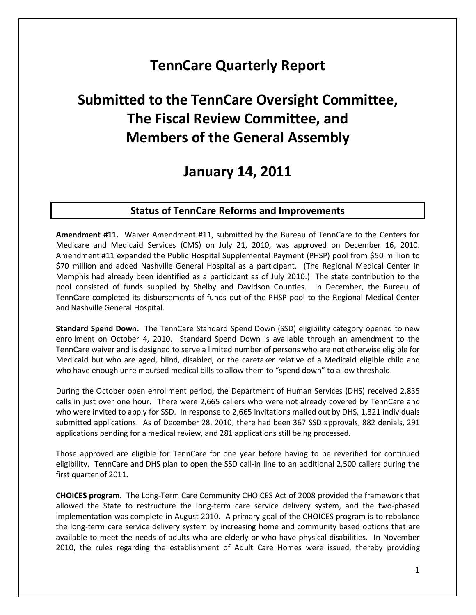## **TennCare Quarterly Report**

# **Submitted to the TennCare Oversight Committee, The Fiscal Review Committee, and Members of the General Assembly**

## **January 14, 2011**

#### **Status of TennCare Reforms and Improvements**

**Amendment #11.** Waiver Amendment #11, submitted by the Bureau of TennCare to the Centers for Medicare and Medicaid Services (CMS) on July 21, 2010, was approved on December 16, 2010. Amendment #11 expanded the Public Hospital Supplemental Payment (PHSP) pool from \$50 million to \$70 million and added Nashville General Hospital as a participant. (The Regional Medical Center in Memphis had already been identified as a participant as of July 2010.) The state contribution to the pool consisted of funds supplied by Shelby and Davidson Counties. In December, the Bureau of TennCare completed its disbursements of funds out of the PHSP pool to the Regional Medical Center and Nashville General Hospital.

**Standard Spend Down.** The TennCare Standard Spend Down (SSD) eligibility category opened to new enrollment on October 4, 2010. Standard Spend Down is available through an amendment to the TennCare waiver and is designed to serve a limited number of persons who are not otherwise eligible for Medicaid but who are aged, blind, disabled, or the caretaker relative of a Medicaid eligible child and who have enough unreimbursed medical bills to allow them to "spend down" to a low threshold.

During the October open enrollment period, the Department of Human Services (DHS) received 2,835 calls in just over one hour. There were 2,665 callers who were not already covered by TennCare and who were invited to apply for SSD. In response to 2,665 invitations mailed out by DHS, 1,821 individuals submitted applications. As of December 28, 2010, there had been 367 SSD approvals, 882 denials, 291 applications pending for a medical review, and 281 applications still being processed.

Those approved are eligible for TennCare for one year before having to be reverified for continued eligibility. TennCare and DHS plan to open the SSD call-in line to an additional 2,500 callers during the first quarter of 2011.

**CHOICES program.** The Long-Term Care Community CHOICES Act of 2008 provided the framework that allowed the State to restructure the long-term care service delivery system, and the two-phased implementation was complete in August 2010. A primary goal of the CHOICES program is to rebalance the long-term care service delivery system by increasing home and community based options that are available to meet the needs of adults who are elderly or who have physical disabilities. In November 2010, the rules regarding the establishment of Adult Care Homes were issued, thereby providing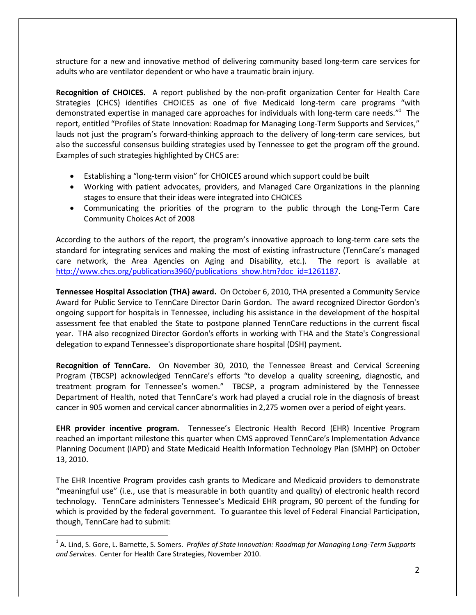structure for a new and innovative method of delivering community based long-term care services for adults who are ventilator dependent or who have a traumatic brain injury.

**Recognition of CHOICES.** A report published by the non-profit organization Center for Health Care Strategies (CHCS) identifies CHOICES as one of five Medicaid long-term care programs "with demonstrated expertise in managed care approaches for individuals with long-term care needs."<sup>1</sup> The report, entitled "Profiles of State Innovation: Roadmap for Managing Long-Term Supports and Services," lauds not just the program's forward-thinking approach to the delivery of long-term care services, but also the successful consensus building strategies used by Tennessee to get the program off the ground. Examples of such strategies highlighted by CHCS are:

- Establishing a "long-term vision" for CHOICES around which support could be built
- Working with patient advocates, providers, and Managed Care Organizations in the planning stages to ensure that their ideas were integrated into CHOICES
- Communicating the priorities of the program to the public through the Long-Term Care Community Choices Act of 2008

According to the authors of the report, the program's innovative approach to long-term care sets the standard for integrating services and making the most of existing infrastructure (TennCare's managed care network, the Area Agencies on Aging and Disability, etc.). The report is available at [http://www.chcs.org/publications3960/publications\\_show.htm?doc\\_id=1261187.](http://www.chcs.org/publications3960/publications_show.htm?doc_id=1261187)

**Tennessee Hospital Association (THA) award.** On October 6, 2010, THA presented a Community Service Award for Public Service to TennCare Director Darin Gordon. The award recognized Director Gordon's ongoing support for hospitals in Tennessee, including his assistance in the development of the hospital assessment fee that enabled the State to postpone planned TennCare reductions in the current fiscal year. THA also recognized Director Gordon's efforts in working with THA and the State's Congressional delegation to expand Tennessee's disproportionate share hospital (DSH) payment.

**Recognition of TennCare.** On November 30, 2010, the Tennessee Breast and Cervical Screening Program (TBCSP) acknowledged TennCare's efforts "to develop a quality screening, diagnostic, and treatment program for Tennessee's women." TBCSP, a program administered by the Tennessee Department of Health, noted that TennCare's work had played a crucial role in the diagnosis of breast cancer in 905 women and cervical cancer abnormalities in 2,275 women over a period of eight years.

**EHR provider incentive program.** Tennessee's Electronic Health Record (EHR) Incentive Program reached an important milestone this quarter when CMS approved TennCare's Implementation Advance Planning Document (IAPD) and State Medicaid Health Information Technology Plan (SMHP) on October 13, 2010.

The EHR Incentive Program provides cash grants to Medicare and Medicaid providers to demonstrate "meaningful use" (i.e., use that is measurable in both quantity and quality) of electronic health record technology. TennCare administers Tennessee's Medicaid EHR program, 90 percent of the funding for which is provided by the federal government. To guarantee this level of Federal Financial Participation, though, TennCare had to submit:

l

<sup>1</sup> A. Lind, S. Gore, L. Barnette, S. Somers. *Profiles of State Innovation: Roadmap for Managing Long-Term Supports and Services.* Center for Health Care Strategies, November 2010.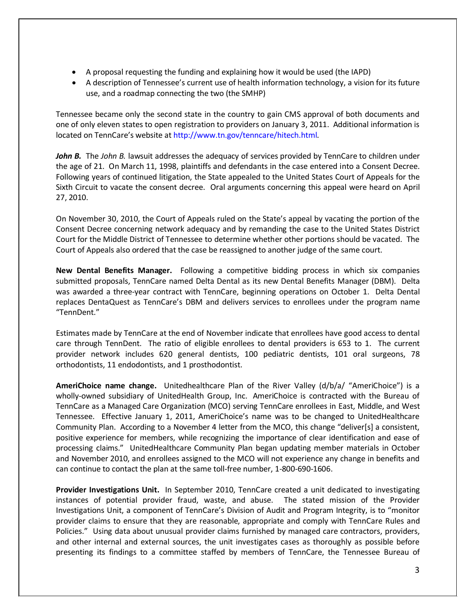- A proposal requesting the funding and explaining how it would be used (the IAPD)
- A description of Tennessee's current use of health information technology, a vision for its future use, and a roadmap connecting the two (the SMHP)

Tennessee became only the second state in the country to gain CMS approval of both documents and one of only eleven states to open registration to providers on January 3, 2011. Additional information is located on TennCare's website at http://www.tn.gov[/tenncare/hitech.html.](http://www.state.tn.us/tenncare/hitech.html) 

*John B.* The *John B.* lawsuit addresses the adequacy of services provided by TennCare to children under the age of 21. On March 11, 1998, plaintiffs and defendants in the case entered into a Consent Decree. Following years of continued litigation, the State appealed to the United States Court of Appeals for the Sixth Circuit to vacate the consent decree. Oral arguments concerning this appeal were heard on April 27, 2010.

On November 30, 2010, the Court of Appeals ruled on the State's appeal by vacating the portion of the Consent Decree concerning network adequacy and by remanding the case to the United States District Court for the Middle District of Tennessee to determine whether other portions should be vacated. The Court of Appeals also ordered that the case be reassigned to another judge of the same court.

**New Dental Benefits Manager.** Following a competitive bidding process in which six companies submitted proposals, TennCare named Delta Dental as its new Dental Benefits Manager (DBM). Delta was awarded a three-year contract with TennCare, beginning operations on October 1. Delta Dental replaces DentaQuest as TennCare's DBM and delivers services to enrollees under the program name "TennDent."

Estimates made by TennCare at the end of November indicate that enrollees have good access to dental care through TennDent. The ratio of eligible enrollees to dental providers is 653 to 1. The current provider network includes 620 general dentists, 100 pediatric dentists, 101 oral surgeons, 78 orthodontists, 11 endodontists, and 1 prosthodontist.

**AmeriChoice name change.** Unitedhealthcare Plan of the River Valley (d/b/a/ "AmeriChoice") is a wholly-owned subsidiary of UnitedHealth Group, Inc. AmeriChoice is contracted with the Bureau of TennCare as a Managed Care Organization (MCO) serving TennCare enrollees in East, Middle, and West Tennessee. Effective January 1, 2011, AmeriChoice's name was to be changed to UnitedHealthcare Community Plan. According to a November 4 letter from the MCO, this change "deliver[s] a consistent, positive experience for members, while recognizing the importance of clear identification and ease of processing claims." UnitedHealthcare Community Plan began updating member materials in October and November 2010, and enrollees assigned to the MCO will not experience any change in benefits and can continue to contact the plan at the same toll-free number, 1-800-690-1606.

**Provider Investigations Unit.** In September 2010, TennCare created a unit dedicated to investigating instances of potential provider fraud, waste, and abuse. The stated mission of the Provider Investigations Unit, a component of TennCare's Division of Audit and Program Integrity, is to "monitor provider claims to ensure that they are reasonable, appropriate and comply with TennCare Rules and Policies." Using data about unusual provider claims furnished by managed care contractors, providers, and other internal and external sources, the unit investigates cases as thoroughly as possible before presenting its findings to a committee staffed by members of TennCare, the Tennessee Bureau of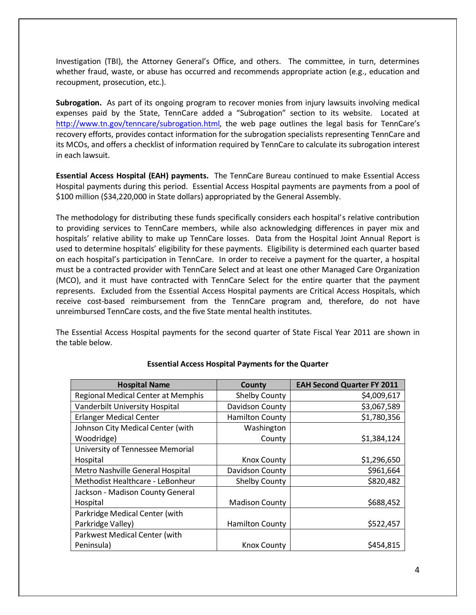Investigation (TBI), the Attorney General's Office, and others. The committee, in turn, determines whether fraud, waste, or abuse has occurred and recommends appropriate action (e.g., education and recoupment, prosecution, etc.).

**Subrogation.** As part of its ongoing program to recover monies from injury lawsuits involving medical expenses paid by the State, TennCare added a "Subrogation" section to its website. Located at [http://www.tn.gov/tenncare/subrogation.html,](http://www.tn.gov/tenncare/subrogation.html) the web page outlines the legal basis for TennCare's recovery efforts, provides contact information for the subrogation specialists representing TennCare and its MCOs, and offers a checklist of information required by TennCare to calculate its subrogation interest in each lawsuit.

**Essential Access Hospital (EAH) payments.** The TennCare Bureau continued to make Essential Access Hospital payments during this period. Essential Access Hospital payments are payments from a pool of \$100 million (\$34,220,000 in State dollars) appropriated by the General Assembly.

The methodology for distributing these funds specifically considers each hospital's relative contribution to providing services to TennCare members, while also acknowledging differences in payer mix and hospitals' relative ability to make up TennCare losses. Data from the Hospital Joint Annual Report is used to determine hospitals' eligibility for these payments. Eligibility is determined each quarter based on each hospital's participation in TennCare. In order to receive a payment for the quarter, a hospital must be a contracted provider with TennCare Select and at least one other Managed Care Organization (MCO), and it must have contracted with TennCare Select for the entire quarter that the payment represents. Excluded from the Essential Access Hospital payments are Critical Access Hospitals, which receive cost-based reimbursement from the TennCare program and, therefore, do not have unreimbursed TennCare costs, and the five State mental health institutes.

The Essential Access Hospital payments for the second quarter of State Fiscal Year 2011 are shown in the table below.

| <b>Hospital Name</b>                      | County                 | <b>EAH Second Quarter FY 2011</b> |
|-------------------------------------------|------------------------|-----------------------------------|
| <b>Regional Medical Center at Memphis</b> | <b>Shelby County</b>   | \$4,009,617                       |
| Vanderbilt University Hospital            | Davidson County        | \$3,067,589                       |
| <b>Erlanger Medical Center</b>            | <b>Hamilton County</b> | \$1,780,356                       |
| Johnson City Medical Center (with         | Washington             |                                   |
| Woodridge)                                | County                 | \$1,384,124                       |
| University of Tennessee Memorial          |                        |                                   |
| Hospital                                  | Knox County            | \$1,296,650                       |
| Metro Nashville General Hospital          | Davidson County        | \$961,664                         |
| Methodist Healthcare - LeBonheur          | Shelby County          | \$820,482                         |
| Jackson - Madison County General          |                        |                                   |
| Hospital                                  | <b>Madison County</b>  | \$688,452                         |
| Parkridge Medical Center (with            |                        |                                   |
| Parkridge Valley)                         | <b>Hamilton County</b> | \$522,457                         |
| Parkwest Medical Center (with             |                        |                                   |
| Peninsula)                                | <b>Knox County</b>     | \$454,815                         |

#### **Essential Access Hospital Payments for the Quarter**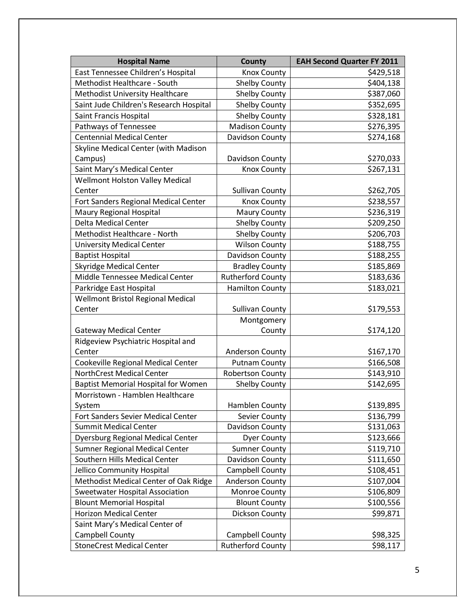| <b>Hospital Name</b>                       | <b>County</b>            | <b>EAH Second Quarter FY 2011</b> |
|--------------------------------------------|--------------------------|-----------------------------------|
| East Tennessee Children's Hospital         | <b>Knox County</b>       | \$429,518                         |
| Methodist Healthcare - South               | <b>Shelby County</b>     | \$404,138                         |
| Methodist University Healthcare            | <b>Shelby County</b>     | \$387,060                         |
| Saint Jude Children's Research Hospital    | <b>Shelby County</b>     | \$352,695                         |
| Saint Francis Hospital                     | <b>Shelby County</b>     | \$328,181                         |
| Pathways of Tennessee                      | <b>Madison County</b>    | \$276,395                         |
| <b>Centennial Medical Center</b>           | Davidson County          | \$274,168                         |
| Skyline Medical Center (with Madison       |                          |                                   |
| Campus)                                    | Davidson County          | \$270,033                         |
| Saint Mary's Medical Center                | <b>Knox County</b>       | \$267,131                         |
| <b>Wellmont Holston Valley Medical</b>     |                          |                                   |
| Center                                     | <b>Sullivan County</b>   | \$262,705                         |
| Fort Sanders Regional Medical Center       | <b>Knox County</b>       | \$238,557                         |
| Maury Regional Hospital                    | <b>Maury County</b>      | \$236,319                         |
| <b>Delta Medical Center</b>                | <b>Shelby County</b>     | \$209,250                         |
| Methodist Healthcare - North               | <b>Shelby County</b>     | \$206,703                         |
| <b>University Medical Center</b>           | <b>Wilson County</b>     | \$188,755                         |
| <b>Baptist Hospital</b>                    | Davidson County          | \$188,255                         |
| <b>Skyridge Medical Center</b>             | <b>Bradley County</b>    | \$185,869                         |
| Middle Tennessee Medical Center            | <b>Rutherford County</b> | \$183,636                         |
| Parkridge East Hospital                    | <b>Hamilton County</b>   | \$183,021                         |
| <b>Wellmont Bristol Regional Medical</b>   |                          |                                   |
| Center                                     | <b>Sullivan County</b>   | \$179,553                         |
|                                            | Montgomery               |                                   |
| <b>Gateway Medical Center</b>              | County                   | \$174,120                         |
| Ridgeview Psychiatric Hospital and         |                          |                                   |
| Center                                     | <b>Anderson County</b>   | \$167,170                         |
| Cookeville Regional Medical Center         | <b>Putnam County</b>     | \$166,508                         |
| <b>NorthCrest Medical Center</b>           | <b>Robertson County</b>  | \$143,910                         |
| <b>Baptist Memorial Hospital for Women</b> | <b>Shelby County</b>     | \$142,695                         |
| Morristown - Hamblen Healthcare            |                          |                                   |
| System                                     | Hamblen County           | \$139,895                         |
| Fort Sanders Sevier Medical Center         | Sevier County            | \$136,799                         |
| <b>Summit Medical Center</b>               | Davidson County          | \$131,063                         |
| <b>Dyersburg Regional Medical Center</b>   | <b>Dyer County</b>       | \$123,666                         |
| Sumner Regional Medical Center             | <b>Sumner County</b>     | \$119,710                         |
| Southern Hills Medical Center              | Davidson County          | \$111,650                         |
| Jellico Community Hospital                 | Campbell County          | \$108,451                         |
| Methodist Medical Center of Oak Ridge      | <b>Anderson County</b>   | \$107,004                         |
| Sweetwater Hospital Association            | Monroe County            | \$106,809                         |
| <b>Blount Memorial Hospital</b>            | <b>Blount County</b>     | \$100,556                         |
| <b>Horizon Medical Center</b>              | <b>Dickson County</b>    | \$99,871                          |
| Saint Mary's Medical Center of             |                          |                                   |
| Campbell County                            | Campbell County          | \$98,325                          |
| <b>StoneCrest Medical Center</b>           | <b>Rutherford County</b> | \$98,117                          |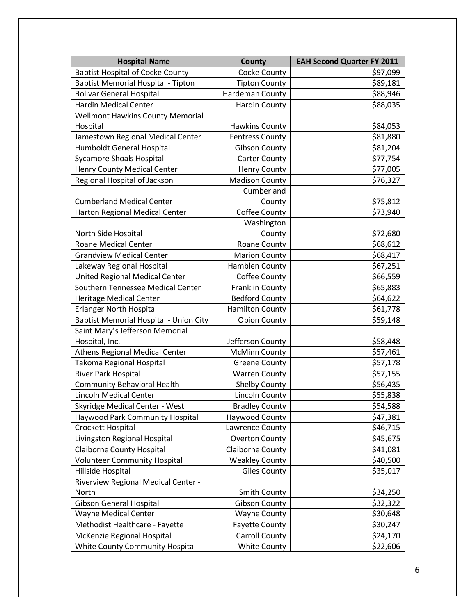| <b>Hospital Name</b>                    | <b>County</b>           | <b>EAH Second Quarter FY 2011</b> |
|-----------------------------------------|-------------------------|-----------------------------------|
| <b>Baptist Hospital of Cocke County</b> | <b>Cocke County</b>     | \$97,099                          |
| Baptist Memorial Hospital - Tipton      | <b>Tipton County</b>    | \$89,181                          |
| <b>Bolivar General Hospital</b>         | Hardeman County         | \$88,946                          |
| <b>Hardin Medical Center</b>            | <b>Hardin County</b>    | \$88,035                          |
| <b>Wellmont Hawkins County Memorial</b> |                         |                                   |
| Hospital                                | <b>Hawkins County</b>   | \$84,053                          |
| Jamestown Regional Medical Center       | <b>Fentress County</b>  | \$81,880                          |
| Humboldt General Hospital               | <b>Gibson County</b>    | \$81,204                          |
| <b>Sycamore Shoals Hospital</b>         | <b>Carter County</b>    | \$77,754                          |
| <b>Henry County Medical Center</b>      | <b>Henry County</b>     | \$77,005                          |
| Regional Hospital of Jackson            | <b>Madison County</b>   | \$76,327                          |
|                                         | Cumberland              |                                   |
| <b>Cumberland Medical Center</b>        | County                  | \$75,812                          |
| Harton Regional Medical Center          | Coffee County           | \$73,940                          |
|                                         | Washington              |                                   |
| North Side Hospital                     | County                  | \$72,680                          |
| <b>Roane Medical Center</b>             | Roane County            | \$68,612                          |
| <b>Grandview Medical Center</b>         | <b>Marion County</b>    | \$68,417                          |
| Lakeway Regional Hospital               | Hamblen County          | \$67,251                          |
| <b>United Regional Medical Center</b>   | <b>Coffee County</b>    | \$66,559                          |
| Southern Tennessee Medical Center       | Franklin County         | \$65,883                          |
| <b>Heritage Medical Center</b>          | <b>Bedford County</b>   | \$64,622                          |
| <b>Erlanger North Hospital</b>          | <b>Hamilton County</b>  | \$61,778                          |
| Baptist Memorial Hospital - Union City  | <b>Obion County</b>     | \$59,148                          |
| Saint Mary's Jefferson Memorial         |                         |                                   |
| Hospital, Inc.                          | Jefferson County        | \$58,448                          |
| <b>Athens Regional Medical Center</b>   | <b>McMinn County</b>    | \$57,461                          |
| Takoma Regional Hospital                | <b>Greene County</b>    | \$57,178                          |
| River Park Hospital                     | <b>Warren County</b>    | \$57,155                          |
| <b>Community Behavioral Health</b>      | <b>Shelby County</b>    | \$56,435                          |
| <b>Lincoln Medical Center</b>           | <b>Lincoln County</b>   | \$55,838                          |
| <b>Skyridge Medical Center - West</b>   | <b>Bradley County</b>   | \$54,588                          |
| <b>Haywood Park Community Hospital</b>  | Haywood County          | \$47,381                          |
| <b>Crockett Hospital</b>                | Lawrence County         | \$46,715                          |
| Livingston Regional Hospital            | <b>Overton County</b>   | \$45,675                          |
| <b>Claiborne County Hospital</b>        | <b>Claiborne County</b> | \$41,081                          |
| <b>Volunteer Community Hospital</b>     | <b>Weakley County</b>   | \$40,500                          |
| Hillside Hospital                       | <b>Giles County</b>     | \$35,017                          |
| Riverview Regional Medical Center -     |                         |                                   |
| North                                   | <b>Smith County</b>     | \$34,250                          |
| <b>Gibson General Hospital</b>          | <b>Gibson County</b>    | \$32,322                          |
| Wayne Medical Center                    | <b>Wayne County</b>     | \$30,648                          |
| Methodist Healthcare - Fayette          | <b>Fayette County</b>   | \$30,247                          |
| McKenzie Regional Hospital              | <b>Carroll County</b>   | \$24,170                          |
| White County Community Hospital         | <b>White County</b>     | \$22,606                          |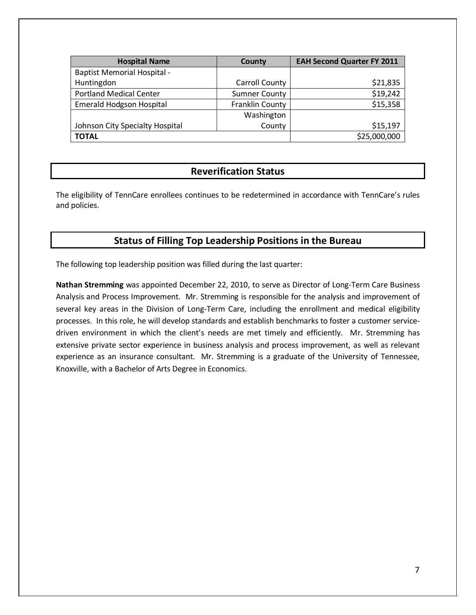| <b>Hospital Name</b>               | County                 | <b>EAH Second Quarter FY 2011</b> |
|------------------------------------|------------------------|-----------------------------------|
| <b>Baptist Memorial Hospital -</b> |                        |                                   |
| Huntingdon                         | <b>Carroll County</b>  | \$21,835                          |
| <b>Portland Medical Center</b>     | <b>Sumner County</b>   | \$19,242                          |
| <b>Emerald Hodgson Hospital</b>    | <b>Franklin County</b> | \$15,358                          |
|                                    | Washington             |                                   |
| Johnson City Specialty Hospital    | County                 | \$15,197                          |
| <b>TOTAL</b>                       |                        | \$25,000,000                      |

#### **Reverification Status**

The eligibility of TennCare enrollees continues to be redetermined in accordance with TennCare's rules and policies.

### **Status of Filling Top Leadership Positions in the Bureau**

The following top leadership position was filled during the last quarter:

**Nathan Stremming** was appointed December 22, 2010, to serve as Director of Long-Term Care Business Analysis and Process Improvement. Mr. Stremming is responsible for the analysis and improvement of several key areas in the Division of Long-Term Care, including the enrollment and medical eligibility processes. In this role, he will develop standards and establish benchmarks to foster a customer servicedriven environment in which the client's needs are met timely and efficiently. Mr. Stremming has extensive private sector experience in business analysis and process improvement, as well as relevant experience as an insurance consultant. Mr. Stremming is a graduate of the University of Tennessee, Knoxville, with a Bachelor of Arts Degree in Economics.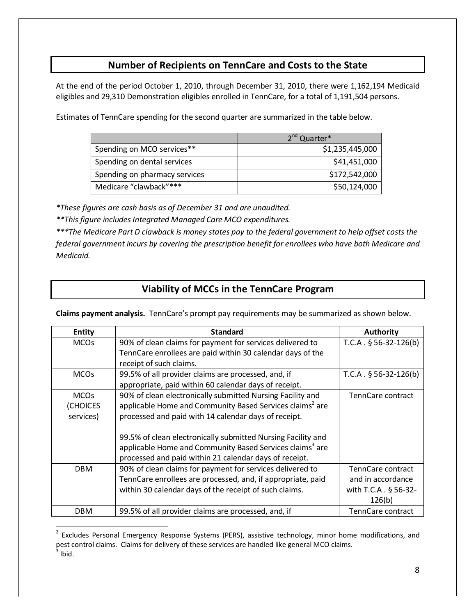## **Number of Recipients on TennCare and Costs to the State**

At the end of the period October 1, 2010, through December 31, 2010, there were 1,162,194 Medicaid eligibles and 29,310 Demonstration eligibles enrolled in TennCare, for a total of 1,191,504 persons.

Estimates of TennCare spending for the second quarter are summarized in the table below.

|                               | 2 <sup>nd</sup> Quarter* |  |
|-------------------------------|--------------------------|--|
| Spending on MCO services**    | \$1,235,445,000          |  |
| Spending on dental services   | \$41,451,000             |  |
| Spending on pharmacy services | \$172,542,000            |  |
| Medicare "clawback"***        | \$50,124,000             |  |

*\*These figures are cash basis as of December 31 and are unaudited.*

*\*\*This figure includes Integrated Managed Care MCO expenditures.*

l

*\*\*\*The Medicare Part D clawback is money states pay to the federal government to help offset costs the federal government incurs by covering the prescription benefit for enrollees who have both Medicare and Medicaid.*

## **Viability of MCCs in the TennCare Program**

**Claims payment analysis.** TennCare's prompt pay requirements may be summarized as shown below.

| <b>Entity</b> | <b>Standard</b>                                                      | <b>Authority</b>         |
|---------------|----------------------------------------------------------------------|--------------------------|
| <b>MCOs</b>   | 90% of clean claims for payment for services delivered to            | $T.C.A. § 56-32-126(b)$  |
|               | TennCare enrollees are paid within 30 calendar days of the           |                          |
|               | receipt of such claims.                                              |                          |
| <b>MCOs</b>   | 99.5% of all provider claims are processed, and, if                  | $T.C.A. § 56-32-126(b)$  |
|               | appropriate, paid within 60 calendar days of receipt.                |                          |
| <b>MCOs</b>   | 90% of clean electronically submitted Nursing Facility and           | TennCare contract        |
| (CHOICES      | applicable Home and Community Based Services claims <sup>2</sup> are |                          |
| services)     | processed and paid with 14 calendar days of receipt.                 |                          |
|               |                                                                      |                          |
|               | 99.5% of clean electronically submitted Nursing Facility and         |                          |
|               | applicable Home and Community Based Services claims <sup>3</sup> are |                          |
|               | processed and paid within 21 calendar days of receipt.               |                          |
| <b>DBM</b>    | 90% of clean claims for payment for services delivered to            | TennCare contract        |
|               | TennCare enrollees are processed, and, if appropriate, paid          | and in accordance        |
|               | within 30 calendar days of the receipt of such claims.               | with T.C.A . § 56-32-    |
|               |                                                                      | 126(b)                   |
| <b>DBM</b>    | 99.5% of all provider claims are processed, and, if                  | <b>TennCare contract</b> |

<sup>&</sup>lt;sup>2</sup> Excludes Personal Emergency Response Systems (PERS), assistive technology, minor home modifications, and pest control claims. Claims for delivery of these services are handled like general MCO claims.  $3$  Ibid.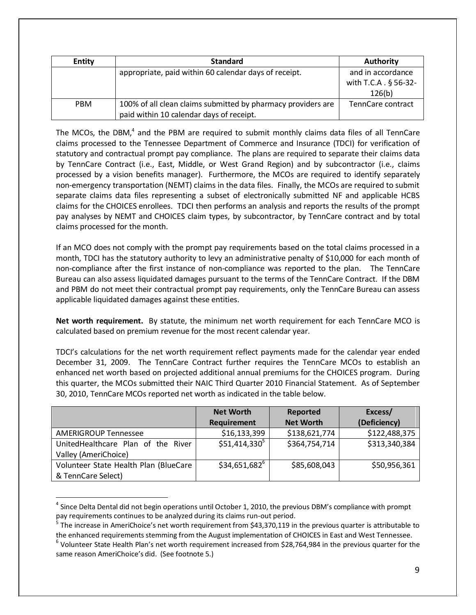| <b>Entity</b> | <b>Standard</b>                                              | <b>Authority</b>      |
|---------------|--------------------------------------------------------------|-----------------------|
|               | appropriate, paid within 60 calendar days of receipt.        | and in accordance     |
|               |                                                              | with T.C.A . § 56-32- |
|               |                                                              | 126(b)                |
| <b>PBM</b>    | 100% of all clean claims submitted by pharmacy providers are | TennCare contract     |
|               | paid within 10 calendar days of receipt.                     |                       |

The MCOs, the DBM, $<sup>4</sup>$  and the PBM are required to submit monthly claims data files of all TennCare</sup> claims processed to the Tennessee Department of Commerce and Insurance (TDCI) for verification of statutory and contractual prompt pay compliance. The plans are required to separate their claims data by TennCare Contract (i.e., East, Middle, or West Grand Region) and by subcontractor (i.e., claims processed by a vision benefits manager). Furthermore, the MCOs are required to identify separately non-emergency transportation (NEMT) claims in the data files. Finally, the MCOs are required to submit separate claims data files representing a subset of electronically submitted NF and applicable HCBS claims for the CHOICES enrollees. TDCI then performs an analysis and reports the results of the prompt pay analyses by NEMT and CHOICES claim types, by subcontractor, by TennCare contract and by total claims processed for the month.

If an MCO does not comply with the prompt pay requirements based on the total claims processed in a month, TDCI has the statutory authority to levy an administrative penalty of \$10,000 for each month of non-compliance after the first instance of non-compliance was reported to the plan. The TennCare Bureau can also assess liquidated damages pursuant to the terms of the TennCare Contract. If the DBM and PBM do not meet their contractual prompt pay requirements, only the TennCare Bureau can assess applicable liquidated damages against these entities.

**Net worth requirement.** By statute, the minimum net worth requirement for each TennCare MCO is calculated based on premium revenue for the most recent calendar year.

TDCI's calculations for the net worth requirement reflect payments made for the calendar year ended December 31, 2009. The TennCare Contract further requires the TennCare MCOs to establish an enhanced net worth based on projected additional annual premiums for the CHOICES program. During this quarter, the MCOs submitted their NAIC Third Quarter 2010 Financial Statement. As of September 30, 2010, TennCare MCOs reported net worth as indicated in the table below.

|                                       | <b>Net Worth</b><br>Requirement | Reported<br><b>Net Worth</b> | Excess/<br>(Deficiency) |
|---------------------------------------|---------------------------------|------------------------------|-------------------------|
| <b>AMERIGROUP Tennessee</b>           | \$16,133,399                    | \$138,621,774                | \$122,488,375           |
| UnitedHealthcare Plan of the River    | $$51,414,330^5$                 | \$364,754,714                | \$313,340,384           |
| Valley (AmeriChoice)                  |                                 |                              |                         |
| Volunteer State Health Plan (BlueCare | $$34,651,682^6$                 | \$85,608,043                 | \$50,956,361            |
| & TennCare Select)                    |                                 |                              |                         |

 $<sup>4</sup>$  Since Delta Dental did not begin operations until October 1, 2010, the previous DBM's compliance with prompt</sup> pay requirements continues to be analyzed during its claims run-out period.

l

 $^5$  The increase in AmeriChoice's net worth requirement from \$43,370,119 in the previous quarter is attributable to the enhanced requirements stemming from the August implementation of CHOICES in East and West Tennessee.

 $^6$  Volunteer State Health Plan's net worth requirement increased from \$28,764,984 in the previous quarter for the same reason AmeriChoice's did. (See footnote 5.)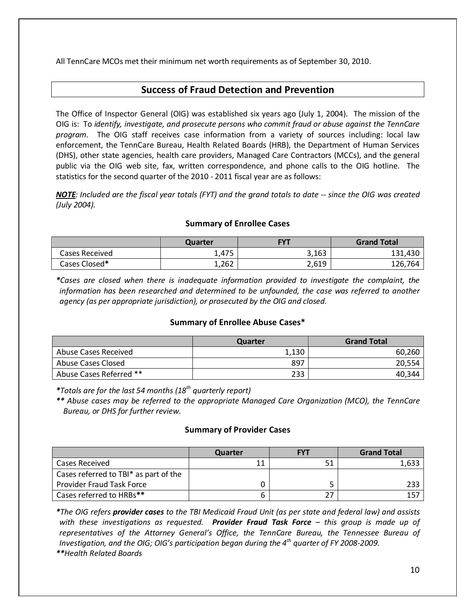All TennCare MCOs met their minimum net worth requirements as of September 30, 2010.

### **Success of Fraud Detection and Prevention**

The Office of Inspector General (OIG) was established six years ago (July 1, 2004). The mission of the OIG is: To *identify, investigate, and prosecute persons who commit fraud or abuse against the TennCare program.* The OIG staff receives case information from a variety of sources including: local law enforcement, the TennCare Bureau, Health Related Boards (HRB), the Department of Human Services (DHS), other state agencies, health care providers, Managed Care Contractors (MCCs), and the general public via the OIG web site, fax, written correspondence, and phone calls to the OIG hotline. The statistics for the second quarter of the 2010 - 2011 fiscal year are as follows:

*NOTE: Included are the fiscal year totals (FYT) and the grand totals to date -- since the OIG was created (July 2004).* 

#### **Summary of Enrollee Cases**

|                | Quarter | <b>FYT</b> | <b>Grand Total</b> |
|----------------|---------|------------|--------------------|
| Cases Received | 1,475   | 3,163      | 131,430            |
| Cases Closed*  | 1,262   | 2,619      | 126,764            |

*\*Cases are closed when there is inadequate information provided to investigate the complaint, the information has been researched and determined to be unfounded, the case was referred to another agency (as per appropriate jurisdiction), or prosecuted by the OIG and closed.* 

#### **Summary of Enrollee Abuse Cases\***

|                         | Quarter | <b>Grand Total</b> |
|-------------------------|---------|--------------------|
| Abuse Cases Received    | 1,130   | 60,260             |
| Abuse Cases Closed      | 897     | 20,554             |
| Abuse Cases Referred ** | 233     | 40,344             |

*\*Totals are for the last 54 months (18th quarterly report)*

*\*\* Abuse cases may be referred to the appropriate Managed Care Organization (MCO), the TennCare Bureau, or DHS for further review.*

#### **Summary of Provider Cases**

|                                       | Quarter | <b>FYT</b> | <b>Grand Total</b> |
|---------------------------------------|---------|------------|--------------------|
| Cases Received                        | 11      | 51         | 1,633              |
| Cases referred to TBI* as part of the |         |            |                    |
| <b>Provider Fraud Task Force</b>      |         |            | 233                |
| Cases referred to HRBs**              | n       | 27         | 157                |

*\*The OIG refers provider cases to the TBI Medicaid Fraud Unit (as per state and federal law) and assists with these investigations as requested. Provider Fraud Task Force – this group is made up of representatives of the Attorney General's Office, the TennCare Bureau, the Tennessee Bureau of Investigation, and the OIG; OIG's participation began during the 4th quarter of FY 2008-2009. \*\*Health Related Boards*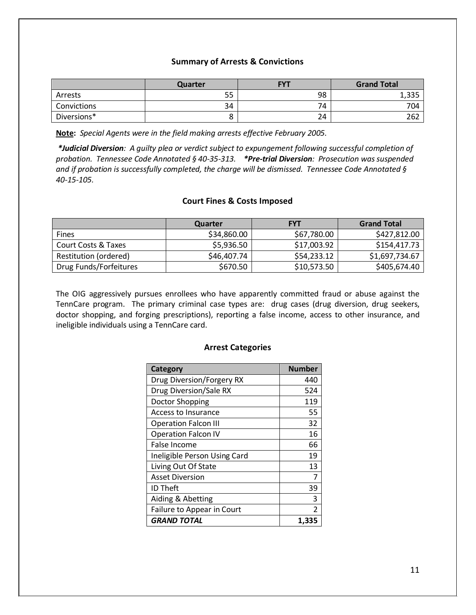#### **Summary of Arrests & Convictions**

|             | Quarter | <b>FVT</b> | <b>Grand Total</b> |
|-------------|---------|------------|--------------------|
| Arrests     | 55      | 98         | つつに<br>כככיד       |
| Convictions | 34      | 74         | 704                |
| Diversions* |         | 24         | 262                |

**Note :** *Special Agents were in the field making arrests effective February 2005.*

*\*Judicial Diversion: A guilty plea or verdict subject to expungement following successful completion of probation. Tennessee Code Annotated § 40-35-313. \*Pre-trial Diversion: Prosecution was suspended and if probation is successfully completed, the charge will be dismissed. Tennessee Code Annotated § 40-15-105.* 

#### **Court Fines & Costs Imposed**

|                        | Quarter     | <b>FYT</b>  | <b>Grand Total</b> |
|------------------------|-------------|-------------|--------------------|
| <b>Fines</b>           | \$34,860.00 | \$67,780.00 | \$427,812.00       |
| Court Costs & Taxes    | \$5,936.50  | \$17,003.92 | \$154,417.73       |
| Restitution (ordered)  | \$46,407.74 | \$54,233.12 | \$1,697,734.67     |
| Drug Funds/Forfeitures | \$670.50    | \$10,573.50 | \$405,674.40       |

The OIG aggressively pursues enrollees who have apparently committed fraud or abuse against the TennCare program. The primary criminal case types are: drug cases (drug diversion, drug seekers, doctor shopping, and forging prescriptions), reporting a false income, access to other insurance, and ineligible individuals using a TennCare card.

#### **Arrest Categories**

| Category                     | <b>Number</b>  |
|------------------------------|----------------|
| Drug Diversion/Forgery RX    | 440            |
| Drug Diversion/Sale RX       | 524            |
| Doctor Shopping              | 119            |
| Access to Insurance          | 55             |
| <b>Operation Falcon III</b>  | 32             |
| <b>Operation Falcon IV</b>   | 16             |
| False Income                 | 66             |
| Ineligible Person Using Card | 19             |
| Living Out Of State          | 13             |
| <b>Asset Diversion</b>       | 7              |
| <b>ID Theft</b>              | 39             |
| Aiding & Abetting            | 3              |
| Failure to Appear in Court   | $\mathfrak{p}$ |
| <b>GRAND TOTAL</b>           | 1.335          |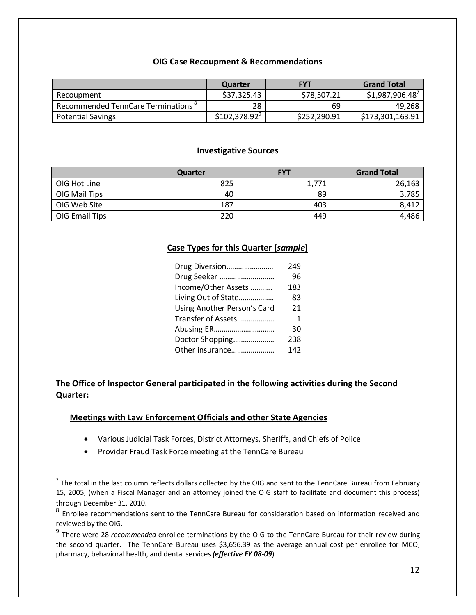#### **OIG Case Recoupment & Recommendations**

|                                                | Quarter       | <b>FYT</b>   | <b>Grand Total</b> |
|------------------------------------------------|---------------|--------------|--------------------|
| Recoupment                                     | \$37,325.43   | \$78,507.21  | \$1,987,906.48     |
| Recommended TennCare Terminations <sup>8</sup> | 28            | 69           | 49,268             |
| <b>Potential Savings</b>                       | \$102,378.92" | \$252,290.91 | \$173,301,163.91   |

#### **Investigative Sources**

|                | Quarter | <b>FYT</b> | <b>Grand Total</b> |
|----------------|---------|------------|--------------------|
| OIG Hot Line   | 825     | 1,771      | 26,163             |
| OIG Mail Tips  | 40      | 89         | 3,785              |
| OIG Web Site   | 187     | 403        | 8.412              |
| OIG Email Tips | 220     | 449        | 4.486              |

#### **Case Types for this Quarter (***sample***)**

| Drug Diversion              | 249 |
|-----------------------------|-----|
| Drug Seeker                 | 96  |
| Income/Other Assets         | 183 |
| Living Out of State         | 83  |
| Using Another Person's Card | 21  |
| Transfer of Assets          | 1   |
| Abusing ER                  | 30  |
| Doctor Shopping             | 238 |
| Other insurance             | 142 |

**The Office of Inspector General participated in the following activities during the Second Quarter:**

#### **Meetings with Law Enforcement Officials and other State Agencies**

- Various Judicial Task Forces, District Attorneys, Sheriffs, and Chiefs of Police
- Provider Fraud Task Force meeting at the TennCare Bureau

l

 $<sup>7</sup>$  The total in the last column reflects dollars collected by the OIG and sent to the TennCare Bureau from February</sup> 15, 2005, (when a Fiscal Manager and an attorney joined the OIG staff to facilitate and document this process) through December 31, 2010.

<sup>8</sup> Enrollee recommendations sent to the TennCare Bureau for consideration based on information received and reviewed by the OIG.

<sup>9</sup> There were 28 *recommended* enrollee terminations by the OIG to the TennCare Bureau for their review during the second quarter. The TennCare Bureau uses \$3,656.39 as the average annual cost per enrollee for MCO, pharmacy, behavioral health, and dental services *(effective FY 08-09*).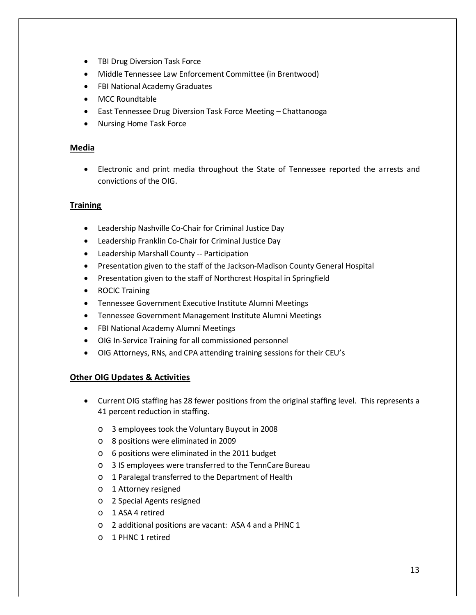- TBI Drug Diversion Task Force
- Middle Tennessee Law Enforcement Committee (in Brentwood)
- FBI National Academy Graduates
- MCC Roundtable
- East Tennessee Drug Diversion Task Force Meeting Chattanooga
- Nursing Home Task Force

#### **Media**

• Electronic and print media throughout the State of Tennessee reported the arrests and convictions of the OIG.

#### **Training**

- Leadership Nashville Co-Chair for Criminal Justice Day
- Leadership Franklin Co-Chair for Criminal Justice Day
- Leadership Marshall County -- Participation
- Presentation given to the staff of the Jackson-Madison County General Hospital
- Presentation given to the staff of Northcrest Hospital in Springfield
- ROCIC Training
- Tennessee Government Executive Institute Alumni Meetings
- Tennessee Government Management Institute Alumni Meetings
- FBI National Academy Alumni Meetings
- OIG In-Service Training for all commissioned personnel
- OIG Attorneys, RNs, and CPA attending training sessions for their CEU's

#### **Other OIG Updates & Activities**

- Current OIG staffing has 28 fewer positions from the original staffing level. This represents a 41 percent reduction in staffing.
	- o 3 employees took the Voluntary Buyout in 2008
	- o 8 positions were eliminated in 2009
	- o 6 positions were eliminated in the 2011 budget
	- o 3 IS employees were transferred to the TennCare Bureau
	- o 1 Paralegal transferred to the Department of Health
	- o 1 Attorney resigned
	- o 2 Special Agents resigned
	- o 1 ASA 4 retired
	- o 2 additional positions are vacant: ASA 4 and a PHNC 1
	- o 1 PHNC 1 retired